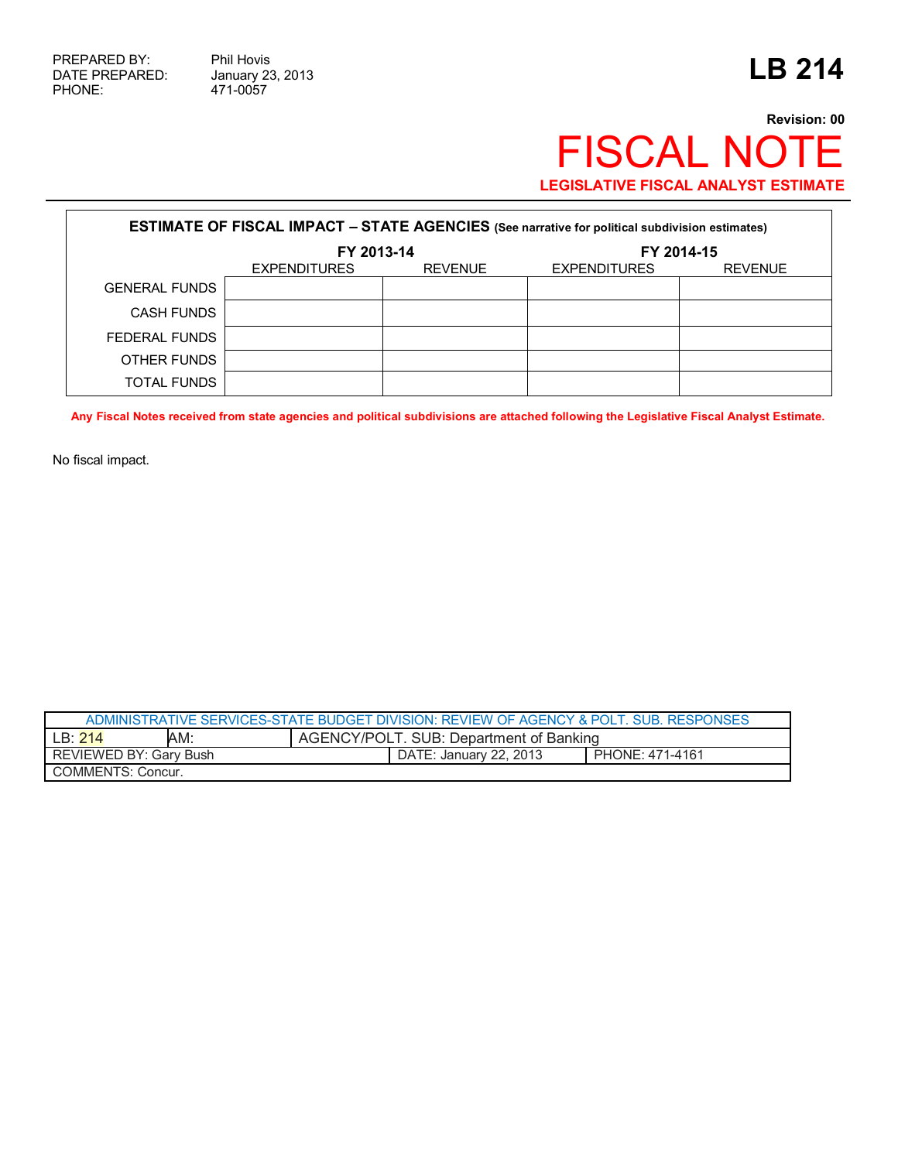471-0057

## **Revision: 00** FISCAL NOTE **LEGISLATIVE FISCAL ANALYST ESTIMATE**

| <b>ESTIMATE OF FISCAL IMPACT - STATE AGENCIES</b> (See narrative for political subdivision estimates) |                     |                |                     |                |  |
|-------------------------------------------------------------------------------------------------------|---------------------|----------------|---------------------|----------------|--|
|                                                                                                       | FY 2013-14          |                | FY 2014-15          |                |  |
|                                                                                                       | <b>EXPENDITURES</b> | <b>REVENUE</b> | <b>EXPENDITURES</b> | <b>REVENUE</b> |  |
| <b>GENERAL FUNDS</b>                                                                                  |                     |                |                     |                |  |
| <b>CASH FUNDS</b>                                                                                     |                     |                |                     |                |  |
| FEDERAL FUNDS                                                                                         |                     |                |                     |                |  |
| OTHER FUNDS                                                                                           |                     |                |                     |                |  |
| TOTAL FUNDS                                                                                           |                     |                |                     |                |  |

**Any Fiscal Notes received from state agencies and political subdivisions are attached following the Legislative Fiscal Analyst Estimate.** 

No fiscal impact.

| ADMINISTRATIVE SERVICES-STATE BUDGET DIVISION: REVIEW OF AGENCY & POLT. SUB. RESPONSES |     |                                         |                        |                 |  |
|----------------------------------------------------------------------------------------|-----|-----------------------------------------|------------------------|-----------------|--|
| LB:214                                                                                 | AM: | AGENCY/POLT. SUB: Department of Banking |                        |                 |  |
| REVIEWED BY: Gary Bush                                                                 |     |                                         | DATE: January 22. 2013 | PHONE: 471-4161 |  |
| COMMENTS: Concur.                                                                      |     |                                         |                        |                 |  |